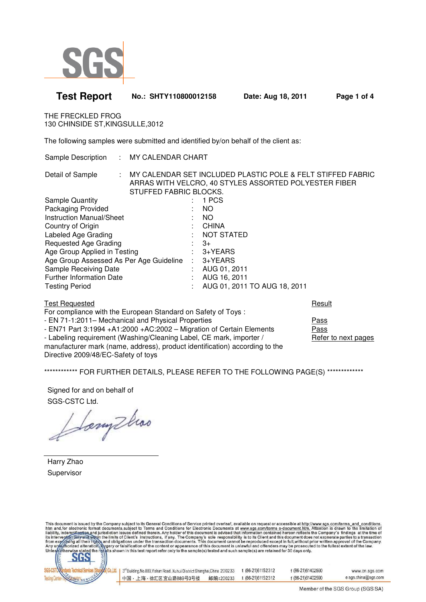

## **Test Report No.: SHTY110800012158 Date: Aug 18, 2011 Page 1 of 4**

THE FRECKLED FROG 130 CHINSIDE ST,KINGSULLE,3012

The following samples were submitted and identified by/on behalf of the client as:

| Sample Description : MY CALENDAR CHART  |                        |               |                                                                                                                        |
|-----------------------------------------|------------------------|---------------|------------------------------------------------------------------------------------------------------------------------|
| Detail of Sample                        | STUFFED FABRIC BLOCKS. |               | : MY CALENDAR SET INCLUDED PLASTIC POLE & FELT STIFFED FABRIC<br>ARRAS WITH VELCRO, 40 STYLES ASSORTED POLYESTER FIBER |
| <b>Sample Quantity</b>                  |                        |               | 1 PCS                                                                                                                  |
| Packaging Provided                      |                        |               | NO.                                                                                                                    |
| Instruction Manual/Sheet                |                        |               | NO.                                                                                                                    |
| Country of Origin                       |                        |               | : CHINA                                                                                                                |
| Labeled Age Grading                     |                        |               | <b>NOT STATED</b>                                                                                                      |
| Requested Age Grading                   |                        |               | $\therefore$ 3+                                                                                                        |
| Age Group Applied in Testing            |                        |               | 3+YEARS                                                                                                                |
| Age Group Assessed As Per Age Guideline |                        | $\mathcal{L}$ | $3+YEARS$                                                                                                              |
| Sample Receiving Date                   |                        |               | AUG 01, 2011                                                                                                           |
| <b>Further Information Date</b>         |                        |               | AUG 16, 2011                                                                                                           |
| <b>Testing Period</b>                   |                        |               | AUG 01, 2011 TO AUG 18, 2011                                                                                           |
|                                         |                        |               |                                                                                                                        |

| For compliance with the European Standard on Safety of Toys:                |                     |
|-----------------------------------------------------------------------------|---------------------|
| - EN 71-1:2011– Mechanical and Physical Properties                          | <b>Pass</b>         |
| - EN71 Part 3:1994 + A1:2000 + AC: 2002 - Migration of Certain Elements     | Pass                |
| - Labeling requirement (Washing/Cleaning Label, CE mark, importer /         | Refer to next pages |
| manufacturer mark (name, address), product identification) according to the |                     |
| Directive 2009/48/EC-Safety of toys                                         |                     |

**Test Requested Results and Security Control Control Control Control Control Control Control Control Control Control Control Control Control Control Control Control Control Control Control Control Control Control Control C** 

\*\*\*\*\*\*\*\*\*\*\*\*\* FOR FURTHER DETAILS, PLEASE REFER TO THE FOLLOWING PAGE(S) \*\*\*\*\*\*\*\*\*\*\*\*\*\*

Signed for and on behalf of SGS-CSTC Ltd.

Sonythoo

Harry Zhao Supervisor

This document is issued by the Company subject to its General Conditions of Service printed overleaf, available on request or accessible at http://www.sgs.com/terms\_and\_conditions<br>htm\_and,for electronic format documents,su



| 3 <sup>rd</sup> Building, No.889, Yishan Road, Xuhui District Shanghai, China 200233 |           | t (86-21)61152312 | f (86-21)61402590 | www.cn.sgs.com      |
|--------------------------------------------------------------------------------------|-----------|-------------------|-------------------|---------------------|
| 中国・上海・徐汇区宜山路889号3号楼                                                                  | 邮编:200233 | t (86-21)61152312 | f (86-21)61402590 | e sgs.china@sgs.com |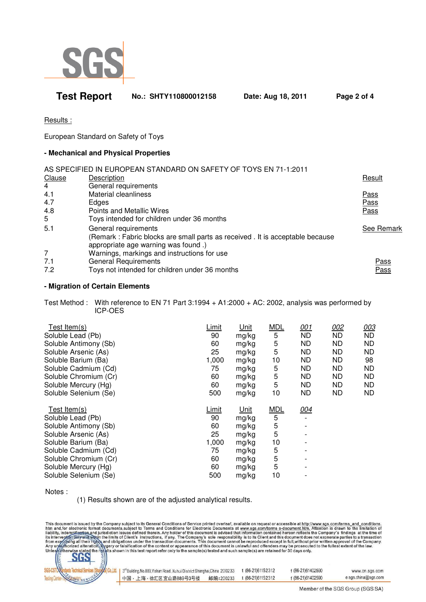

# **Test Report No.: SHTY110800012158 Date: Aug 18, 2011 Page 2 of 4**

Results :

European Standard on Safety of Toys

### **- Mechanical and Physical Properties**

|        | AS SPECIFIED IN EUROPEAN STANDARD ON SAFETY OF TOYS EN 71-1:2011             |             |
|--------|------------------------------------------------------------------------------|-------------|
| Clause | Description                                                                  | Result      |
| 4      | General requirements                                                         |             |
| 4.1    | Material cleanliness                                                         | Pass        |
| 4.7    | Edges                                                                        | <b>Pass</b> |
| 4.8    | Points and Metallic Wires                                                    | Pass        |
| 5      | Toys intended for children under 36 months                                   |             |
| 5.1    | General requirements                                                         | See Remark  |
|        | (Remark: Fabric blocks are small parts as received. It is acceptable because |             |
|        | appropriate age warning was found.)                                          |             |
| 7      | Warnings, markings and instructions for use                                  |             |
| 7.1    | <b>General Requirements</b>                                                  | Pass        |
| 7.2    | Toys not intended for children under 36 months                               | Pass        |

### **- Migration of Certain Elements**

Test Method : With reference to EN 71 Part 3:1994 + A1:2000 + AC: 2002, analysis was performed by ICP-OES

| Test Item $(s)$                               | Limit | Unit        | <b>MDL</b> | 001       | 002       | 003       |
|-----------------------------------------------|-------|-------------|------------|-----------|-----------|-----------|
| Soluble Lead (Pb)                             | 90    | mg/kg       | 5          | <b>ND</b> | <b>ND</b> | <b>ND</b> |
| Soluble Antimony (Sb)                         | 60    | mg/kg       | 5          | <b>ND</b> | <b>ND</b> | <b>ND</b> |
| Soluble Arsenic (As)                          | 25    | mg/kg       | 5          | ND.       | ND        | ND        |
| Soluble Barium (Ba)                           | 1,000 | mg/kg       | 10         | ND.       | ND        | 98        |
| Soluble Cadmium (Cd)                          | 75    | mg/kg       | 5          | ND.       | ND        | ND        |
| Soluble Chromium (Cr)                         | 60    | mg/kg       | 5          | ND.       | ND        | ND        |
| Soluble Mercury (Hg)                          | 60    | mg/kg       | 5          | ND.       | ND        | ND.       |
| Soluble Selenium (Se)                         | 500   | mg/kg       | 10         | ND.       | <b>ND</b> | ND.       |
|                                               |       |             |            |           |           |           |
| Test Item $(s)$                               | Limit | <u>Unit</u> | <b>MDL</b> | 004       |           |           |
| Soluble Lead (Pb)                             | 90    | mg/kg       | 5          |           |           |           |
| Soluble Antimony (Sb)                         | 60    | mg/kg       | 5          |           |           |           |
| Soluble Arsenic (As)                          | 25    | mg/kg       | 5          |           |           |           |
| Soluble Barium (Ba)                           | 1,000 | mg/kg       | 10         |           |           |           |
| Soluble Cadmium (Cd)                          | 75    | mg/kg       | 5          |           |           |           |
| Soluble Chromium (Cr)                         | 60    | mg/kg       | 5          |           |           |           |
| Soluble Mercury (Hg)<br>Soluble Selenium (Se) | 60    | mg/kg       | 5          |           |           |           |

Notes :

(1) Results shown are of the adjusted analytical results.

This document is issued by the Company subject to its General Conditions of Service printed overleaf, available on request or accessible at http://www.sgs.com/terms\_and\_conditions<br>htm\_and,for electronic format documents,su



| 3 <sup>rd</sup> Building, No.889, Yishan Road, Xuhui District Shanghai, China 200233 |           | t (86-21)61152312  | f (86-21)61402590 | www.cn.sgs.com      |
|--------------------------------------------------------------------------------------|-----------|--------------------|-------------------|---------------------|
| 中国・上海・徐汇区宜山路889号3号楼                                                                  | 邮编:200233 | t (86-21) 61152312 | f (86-21)61402590 | e sgs.china@sgs.com |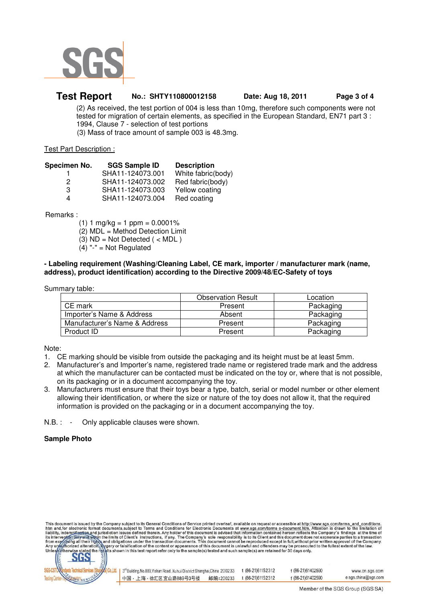

### **Test Report No.: SHTY110800012158 Date: Aug 18, 2011 Page 3 of 4**

 (2) As received, the test portion of 004 is less than 10mg, therefore such components were not tested for migration of certain elements, as specified in the European Standard, EN71 part 3 : 1994, Clause 7 - selection of test portions (3) Mass of trace amount of sample 003 is 48.3mg.

#### Test Part Description :

| Specimen No. | <b>SGS Sample ID</b> | <b>Description</b> |
|--------------|----------------------|--------------------|
|              | SHA11-124073.001     | White fabric(body) |
| 2            | SHA11-124073.002     | Red fabric(body)   |
| 3            | SHA11-124073.003     | Yellow coating     |
| Δ            | SHA11-124073.004     | Red coating        |
|              |                      |                    |

Remarks :

 $(1)$  1 mg/kg = 1 ppm = 0.0001% (2) MDL = Method Detection Limit  $(3)$  ND = Not Detected  $($  < MDL  $)$  $(4)$  "-" = Not Regulated

### **- Labeling requirement (Washing/Cleaning Label, CE mark, importer / manufacturer mark (name, address), product identification) according to the Directive 2009/48/EC-Safety of toys**

Summary table:

|                               | <b>Observation Result</b> | Location  |
|-------------------------------|---------------------------|-----------|
| CE mark                       | Present                   | Packaging |
| Importer's Name & Address     | Absent                    | Packaging |
| Manufacturer's Name & Address | Present                   | Packaging |
| Product ID                    | Present                   | Packaging |

Note:

- 1. CE marking should be visible from outside the packaging and its height must be at least 5mm.
- 2. Manufacturer's and Importer's name, registered trade name or registered trade mark and the address at which the manufacturer can be contacted must be indicated on the toy or, where that is not possible, on its packaging or in a document accompanying the toy.
- 3. Manufacturers must ensure that their toys bear a type, batch, serial or model number or other element allowing their identification, or where the size or nature of the toy does not allow it, that the required information is provided on the packaging or in a document accompanying the toy.

N.B. : - Only applicable clauses were shown.

### **Sample Photo**

This document is issued by the Company subject to its General Conditions of Service printed overleaf, available on request or accessible at http://www.sgs.com/terms\_and\_conditions<br>htm\_and,for electronic format documents,su



| 3 <sup>rd</sup> Building, No.889, Yishan Road, Xuhui District Shanghai, China 200233 |           | t (86-21) 61152312 | f (86-21)61402590 | www.cn.sgs.com      |
|--------------------------------------------------------------------------------------|-----------|--------------------|-------------------|---------------------|
| 中国・上海・徐汇区宜山路889号3号楼                                                                  | 邮编:200233 | t (86-21)61152312  | f (86-21)61402590 | e sgs.china@sgs.com |